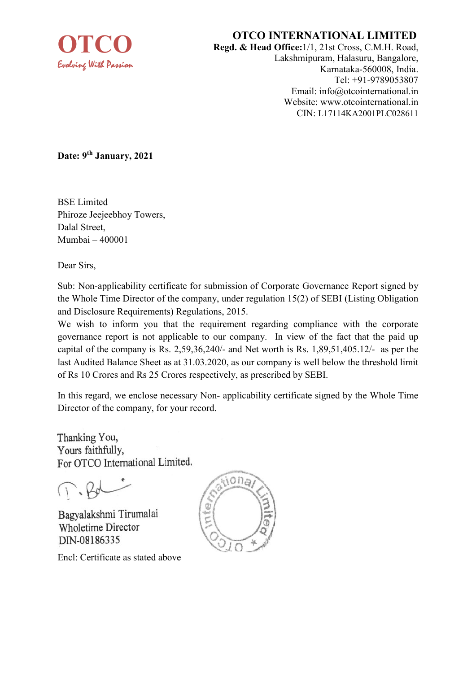

## OTCO INTERNATIONAL LIMITED

Regd. & Head Office:1/1, 21st Cross, C.M.H. Road, Lakshmipuram, Halasuru, Bangalore, Karnataka-560008, India. Tel: +91-9789053807 Email: info@otcointernational.in Website: www.otcointernational.in CIN: L17114KA2001PLC028611

Date: 9<sup>th</sup> January, 2021

BSE Limited Phiroze Jeejeebhoy Towers, Dalal Street, Mumbai – 400001

Dear Sirs,

Sub: Non-applicability certificate for submission of Corporate Governance Report signed by the Whole Time Director of the company, under regulation 15(2) of SEBI (Listing Obligation and Disclosure Requirements) Regulations, 2015.

We wish to inform you that the requirement regarding compliance with the corporate governance report is not applicable to our company. In view of the fact that the paid up capital of the company is Rs. 2,59,36,240/- and Net worth is Rs. 1,89,51,405.12/- as per the last Audited Balance Sheet as at 31.03.2020, as our company is well below the threshold limit of Rs 10 Crores and Rs 25 Crores respectively, as prescribed by SEBI.

In this regard, we enclose necessary Non- applicability certificate signed by the Whole Time Director of the company, for your record.

Thanking You, Yours faithfully, For OTCO International Limited.

 $T - B$ 

Bagyalakshmi Tirumalai **Wholetime Director** DIN-08186335

Encl: Certificate as stated above